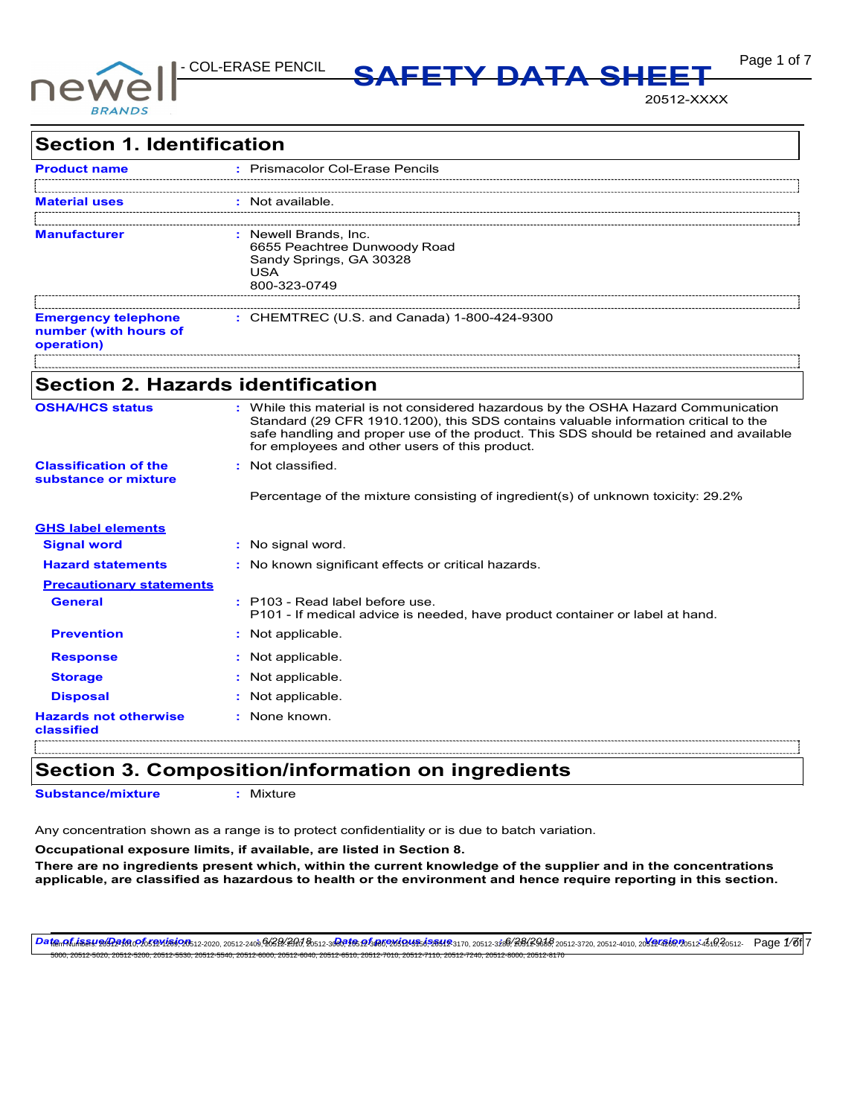

**Page 1 of 7 MSDS SAFETY DATA SHEET** 

20512-XXXX

| <b>Section 1. Identification</b>                                  |                                                                                                                                                                                                                                 |
|-------------------------------------------------------------------|---------------------------------------------------------------------------------------------------------------------------------------------------------------------------------------------------------------------------------|
| <b>Product name</b>                                               | : Prismacolor Col-Erase Pencils                                                                                                                                                                                                 |
|                                                                   | : Not available.                                                                                                                                                                                                                |
| <b>Manufacturer</b>                                               | : Newell Brands, Inc.<br>6655 Peachtree Dunwoody Road<br>Sandy Springs, GA 30328<br><b>USA</b><br>800-323-0749                                                                                                                  |
| <b>Emergency telephone</b><br>number (with hours of<br>operation) | : CHEMTREC (U.S. and Canada) 1-800-424-9300                                                                                                                                                                                     |
| <b>Section 2. Hazards identification</b>                          |                                                                                                                                                                                                                                 |
| <b>OSHA/HCS status</b>                                            | : While this material is not considered hazardous by the OSHA Hazard Communication                                                                                                                                              |
|                                                                   | Standard (29 CFR 1910.1200), this SDS contains valuable information critical to the<br>safe handling and proper use of the product. This SDS should be retained and available<br>for employees and other users of this product. |
| <b>Classification of the</b>                                      | : Not classified.                                                                                                                                                                                                               |
| substance or mixture                                              | Percentage of the mixture consisting of ingredient(s) of unknown toxicity: 29.2%                                                                                                                                                |
| <b>GHS label elements</b>                                         |                                                                                                                                                                                                                                 |
| <b>Signal word</b>                                                | : No signal word.                                                                                                                                                                                                               |
| <b>Hazard statements</b>                                          | : No known significant effects or critical hazards.                                                                                                                                                                             |
| <b>Precautionary statements</b>                                   |                                                                                                                                                                                                                                 |
| <b>General</b>                                                    | : P103 - Read label before use.<br>P101 - If medical advice is needed, have product container or label at hand.                                                                                                                 |
| <b>Prevention</b>                                                 | : Not applicable.                                                                                                                                                                                                               |
| <b>Response</b>                                                   | : Not applicable.                                                                                                                                                                                                               |
| <b>Storage</b>                                                    | : Not applicable.                                                                                                                                                                                                               |
| <b>Disposal</b>                                                   | : Not applicable.                                                                                                                                                                                                               |
| <b>Hazards not otherwise</b><br>classified                        | : None known.                                                                                                                                                                                                                   |

# **Section 3. Composition/information on ingredients**

**Substance/mixture :** Mixture

Any concentration shown as a range is to protect confidentiality or is due to batch variation.

**Occupational exposure limits, if available, are listed in Section 8.**

**There are no ingredients present which, within the current knowledge of the supplier and in the concentrations applicable, are classified as hazardous to health or the environment and hence require reporting in this section.**

<del>Dat@nALi5SY9GA2f0</del>nA65B4659A512-2020, 20512-2409,96SB42HA,Bo512-3**GR165.PES@ED6UES1526HB**3170, 20512-3266(BB16S458 20512-3720, 20512-4010, 20<del>8194610,2</del>0512-4610,20512- Page 1/81|7 5000, 20512-5020, 20512-5200, 20512-5530, 20512-5540, 20512-6000, 20512-6040, 20512-6510, 20512-7010, 20512-7110, 20512-7240, 20512-8000, 20512-8170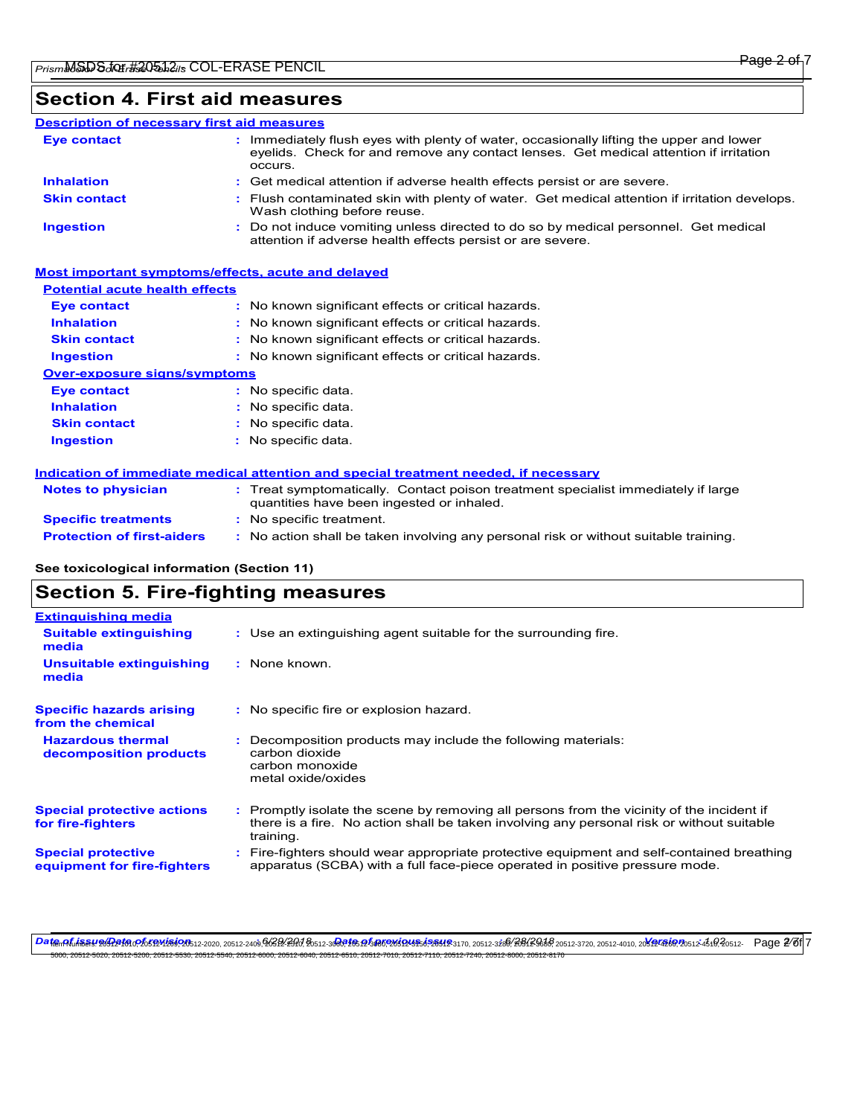## **Section 4. First aid measures**

#### Do not induce vomiting unless directed to do so by medical personnel. Get medical attention if adverse health effects persist or are severe. **:** Immediately flush eyes with plenty of water, occasionally lifting the upper and lower eyelids. Check for and remove any contact lenses. Get medical attention if irritation occurs. Flush contaminated skin with plenty of water. Get medical attention if irritation develops. **:** Wash clothing before reuse. Get medical attention if adverse health effects persist or are severe. **: Eye contact Skin contact Inhalation Ingestion : Description of necessary first aid measures**

## **Most important symptoms/effects, acute and delayed**

## **Potential acute health effects**

| <b>Eve contact</b>                  | : No known significant effects or critical hazards. |
|-------------------------------------|-----------------------------------------------------|
| <b>Inhalation</b>                   | : No known significant effects or critical hazards. |
| <b>Skin contact</b>                 | : No known significant effects or critical hazards. |
| <b>Ingestion</b>                    | : No known significant effects or critical hazards. |
| <b>Over-exposure signs/symptoms</b> |                                                     |
| <b>Eve contact</b>                  | : No specific data.                                 |
| <b>Inhalation</b>                   | : No specific data.                                 |
| <b>Skin contact</b>                 | : No specific data.                                 |
| <b>Ingestion</b>                    | : No specific data.                                 |
|                                     |                                                     |

### **Indication of immediate medical attention and special treatment needed, if necessary**

| <b>Notes to physician</b>         | : Treat symptomatically. Contact poison treatment specialist immediately if large<br>quantities have been ingested or inhaled. |  |
|-----------------------------------|--------------------------------------------------------------------------------------------------------------------------------|--|
| <b>Specific treatments</b>        | : No specific treatment.                                                                                                       |  |
| <b>Protection of first-aiders</b> | No action shall be taken involving any personal risk or without suitable training.                                             |  |

### **See toxicological information (Section 11)**

## **Section 5. Fire-fighting measures**

| <b>Extinguishing media</b>                               |                                                                                                                                                                                                   |
|----------------------------------------------------------|---------------------------------------------------------------------------------------------------------------------------------------------------------------------------------------------------|
| <b>Suitable extinguishing</b><br>media                   | : Use an extinguishing agent suitable for the surrounding fire.                                                                                                                                   |
| Unsuitable extinguishing<br>media                        | : None known.                                                                                                                                                                                     |
| <b>Specific hazards arising</b><br>from the chemical     | : No specific fire or explosion hazard.                                                                                                                                                           |
| <b>Hazardous thermal</b><br>decomposition products       | Decomposition products may include the following materials:<br>carbon dioxide<br>carbon monoxide<br>metal oxide/oxides                                                                            |
| <b>Special protective actions</b><br>for fire-fighters   | Promptly isolate the scene by removing all persons from the vicinity of the incident if<br>there is a fire. No action shall be taken involving any personal risk or without suitable<br>training. |
| <b>Special protective</b><br>equipment for fire-fighters | Fire-fighters should wear appropriate protective equipment and self-contained breathing<br>apparatus (SCBA) with a full face-piece operated in positive pressure mode.                            |
|                                                          |                                                                                                                                                                                                   |

<del>Dat@nALiSSY20A2f0</del>nPh5fBM2502b12-2020, 20512-2409,96SB2:2H0AB0512-3**GR165.p25802b5926556358412**8170, 20512-3266(BB12SB68 20512-3720, 20512-4010, 20**592560**20512-45t0,20512-461020512-45t0,20512-45t0,20512-Bage 2/8f|7 5000, 20512-5020, 20512-5200, 20512-5530, 20512-5540, 20512-6000, 20512-6040, 20512-6510, 20512-7010, 20512-7110, 20512-7240, 20512-8000, 20512-8170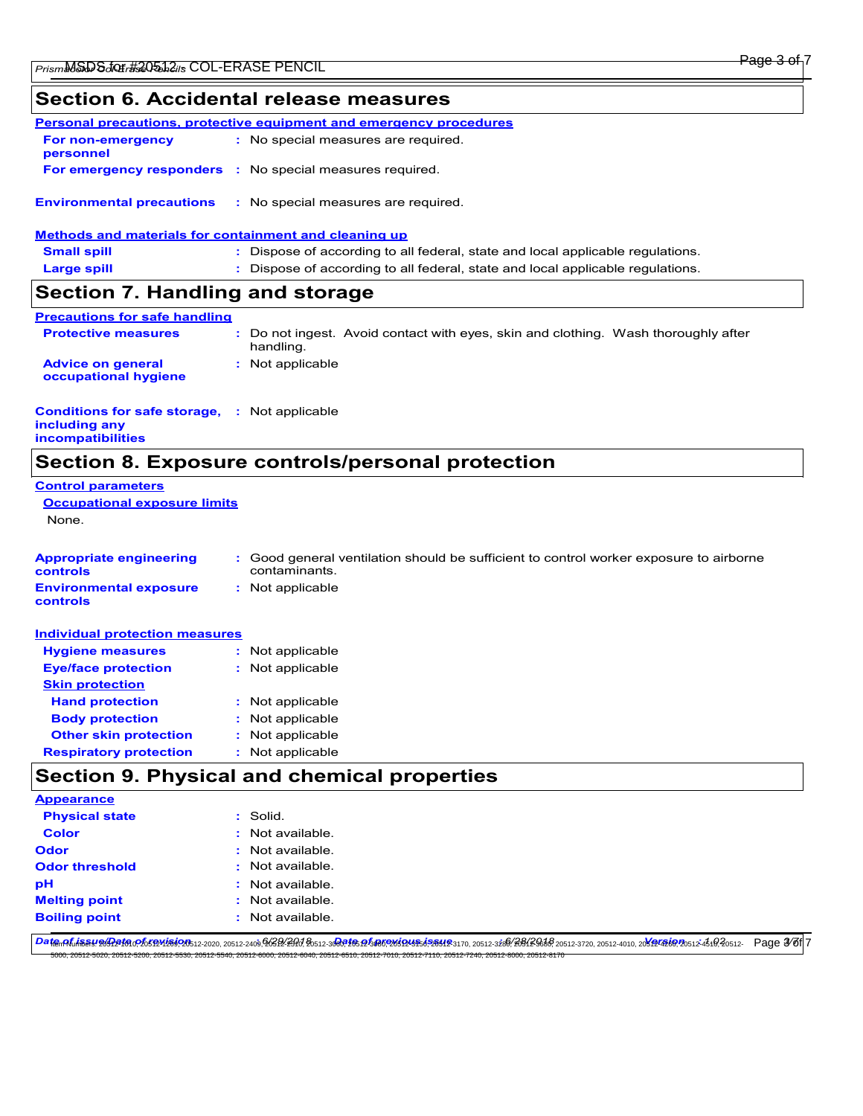## **Section 6. Accidental release measures**

|                                                                                                  | Personal precautions, protective equipment and emergency procedures            |  |
|--------------------------------------------------------------------------------------------------|--------------------------------------------------------------------------------|--|
| For non-emergency<br>personnel                                                                   | : No special measures are required.                                            |  |
|                                                                                                  | <b>For emergency responders</b> : No special measures required.                |  |
| <b>Environmental precautions</b><br><b>Methods and materials for containment and cleaning up</b> | : No special measures are required.                                            |  |
| <b>Small spill</b>                                                                               | : Dispose of according to all federal, state and local applicable regulations. |  |
| <b>Large spill</b>                                                                               | : Dispose of according to all federal, state and local applicable regulations. |  |
| Section 7. Handling and storage                                                                  |                                                                                |  |

| <b>Precautions for safe handling</b>             |                                                                                                 |  |
|--------------------------------------------------|-------------------------------------------------------------------------------------------------|--|
| <b>Protective measures</b>                       | : Do not ingest. Avoid contact with eyes, skin and clothing. Wash thoroughly after<br>handling. |  |
| <b>Advice on general</b><br>occupational hygiene | : Not applicable                                                                                |  |

#### **Conditions for safe storage, : Not applicable including any incompatibilities**

# **Section 8. Exposure controls/personal protection**

| <b>Control parameters</b><br><b>Occupational exposure limits</b> |                                                                                                         |  |
|------------------------------------------------------------------|---------------------------------------------------------------------------------------------------------|--|
|                                                                  |                                                                                                         |  |
|                                                                  |                                                                                                         |  |
| <b>Appropriate engineering</b><br><b>controls</b>                | : Good general ventilation should be sufficient to control worker exposure to airborne<br>contaminants. |  |
| <b>Environmental exposure</b><br>controls                        | : Not applicable                                                                                        |  |
| <b>Individual protection measures</b>                            |                                                                                                         |  |
| <b>Hygiene measures</b>                                          | : Not applicable                                                                                        |  |
| <b>Eye/face protection</b>                                       | : Not applicable                                                                                        |  |
| <b>Skin protection</b>                                           |                                                                                                         |  |
| <b>Hand protection</b>                                           | : Not applicable                                                                                        |  |

| .                             | .                |
|-------------------------------|------------------|
| <b>Body protection</b>        | : Not applicable |
| <b>Other skin protection</b>  | : Not applicable |
| <b>Respiratory protection</b> | : Not applicable |

# **Section 9. Physical and chemical properties**

| <b>Appearance</b>     |                    |
|-----------------------|--------------------|
| <b>Physical state</b> | : Solid.           |
| Color                 | $:$ Not available. |
| Odor                  | $:$ Not available. |
| <b>Odor threshold</b> | $:$ Not available. |
| рH                    | : Not available.   |
| <b>Melting point</b>  | $:$ Not available. |
| <b>Boiling point</b>  | : Not available.   |
|                       |                    |

<del>Dat@nALiSSY20A2f0</del>nPh5fBM2502b12-2020, 20512-2409,96SB2:2H0AB0512-3**GR165.p258026384526312**9370, 20512-3266(BB12Sb88 20512-3720, 20512-4010, 20**812456**920512-456(B20512-4 **Page 3/81**7 5000, 20512-5020, 20512-5200, 20512-5530, 20512-5540, 20512-6000, 20512-6040, 20512-6510, 20512-7010, 20512-7110, 20512-7240, 20512-8000, 20512-8170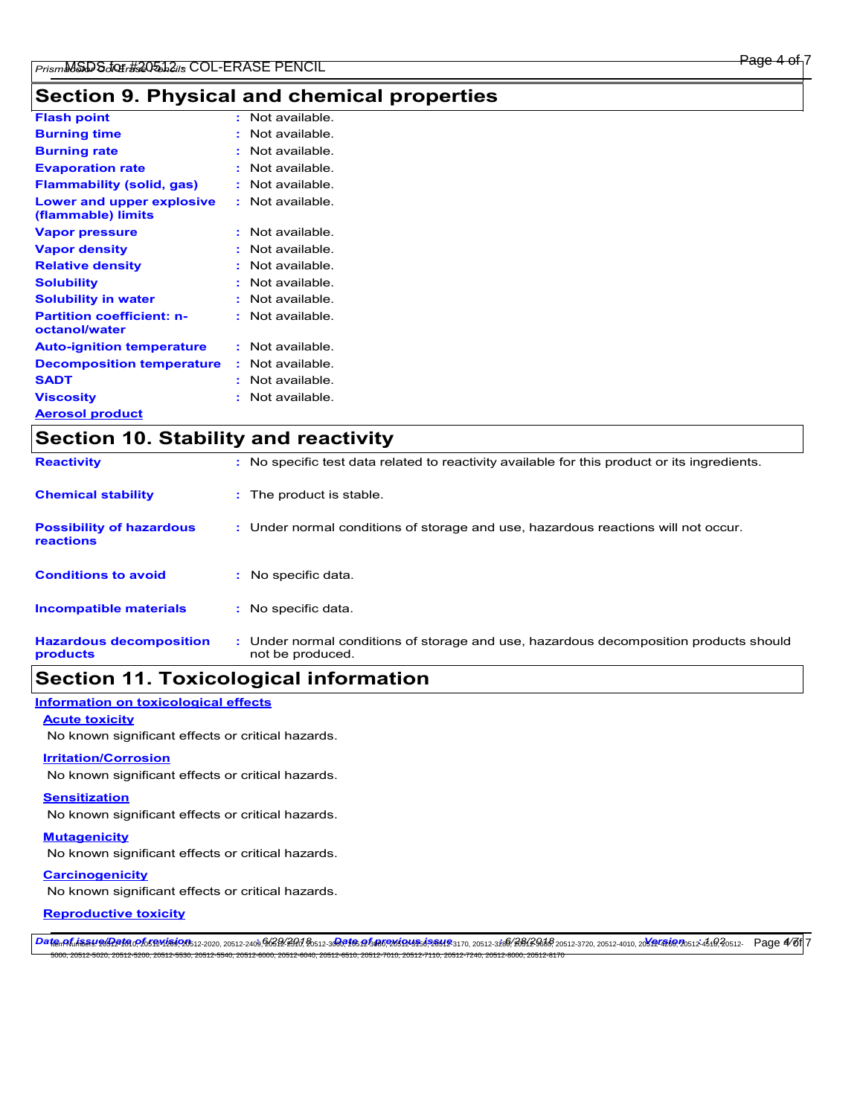# **Section 9. Physical and chemical properties**

| <b>Flash point</b>                                |   | Not available. |
|---------------------------------------------------|---|----------------|
| <b>Burning time</b>                               |   | Not available  |
| <b>Burning rate</b>                               |   | Not available  |
| <b>Evaporation rate</b>                           |   | Not available  |
| <b>Flammability (solid, gas)</b>                  |   | Not available  |
| Lower and upper explosive<br>(flammable) limits   |   | Not available. |
| <b>Vapor pressure</b>                             | t | Not available. |
| <b>Vapor density</b>                              |   | Not available. |
| <b>Relative density</b>                           |   | Not available. |
| <b>Solubility</b>                                 |   | Not available  |
| <b>Solubility in water</b>                        |   | Not available. |
| <b>Partition coefficient: n-</b><br>octanol/water |   | Not available  |
| <b>Auto-ignition temperature</b>                  | ÷ | Not available. |
| <b>Decomposition temperature</b>                  | ÷ | Not available. |
| <b>SADT</b>                                       | ٠ | Not available. |
| <b>Viscosity</b>                                  | t | Not available. |
| <b>Aerosol product</b>                            |   |                |

| <b>Section 10. Stability and reactivity</b>  |                                                                                                           |  |
|----------------------------------------------|-----------------------------------------------------------------------------------------------------------|--|
| <b>Reactivity</b>                            | : No specific test data related to reactivity available for this product or its ingredients.              |  |
| <b>Chemical stability</b>                    | : The product is stable.                                                                                  |  |
| <b>Possibility of hazardous</b><br>reactions | : Under normal conditions of storage and use, hazardous reactions will not occur.                         |  |
| <b>Conditions to avoid</b>                   | : No specific data.                                                                                       |  |
| <b>Incompatible materials</b>                | No specific data.                                                                                         |  |
| <b>Hazardous decomposition</b><br>products   | : Under normal conditions of storage and use, hazardous decomposition products should<br>not be produced. |  |

# **Section 11. Toxicological information**

### **Information on toxicological effects**

### **Acute toxicity**

 $\mathsf{r}$ 

No known significant effects or critical hazards.

### **Irritation/Corrosion**

No known significant effects or critical hazards.

### **Sensitization**

No known significant effects or critical hazards.

#### **Mutagenicity**

No known significant effects or critical hazards.

### **Carcinogenicity**

No known significant effects or critical hazards.

### **Reproductive toxicity**

<del>Dat@nALiSSY20A2f0</del>nPh5fBM2502b12-2020, 20512-2409,96SB2:2H0AB0512-3**GR165.p258026384526312**9370, 20512-3266(BB12Sb86 20512-3720, 20512-4010, 20**812456**920512-456(20512- Page 476f 7

.<br>50, 20512-5540, 20512-6000, 20512-6040, 20512-6510, 20512-7010, 20512-7110, 20512-7240, 20512-6000, 20512-8170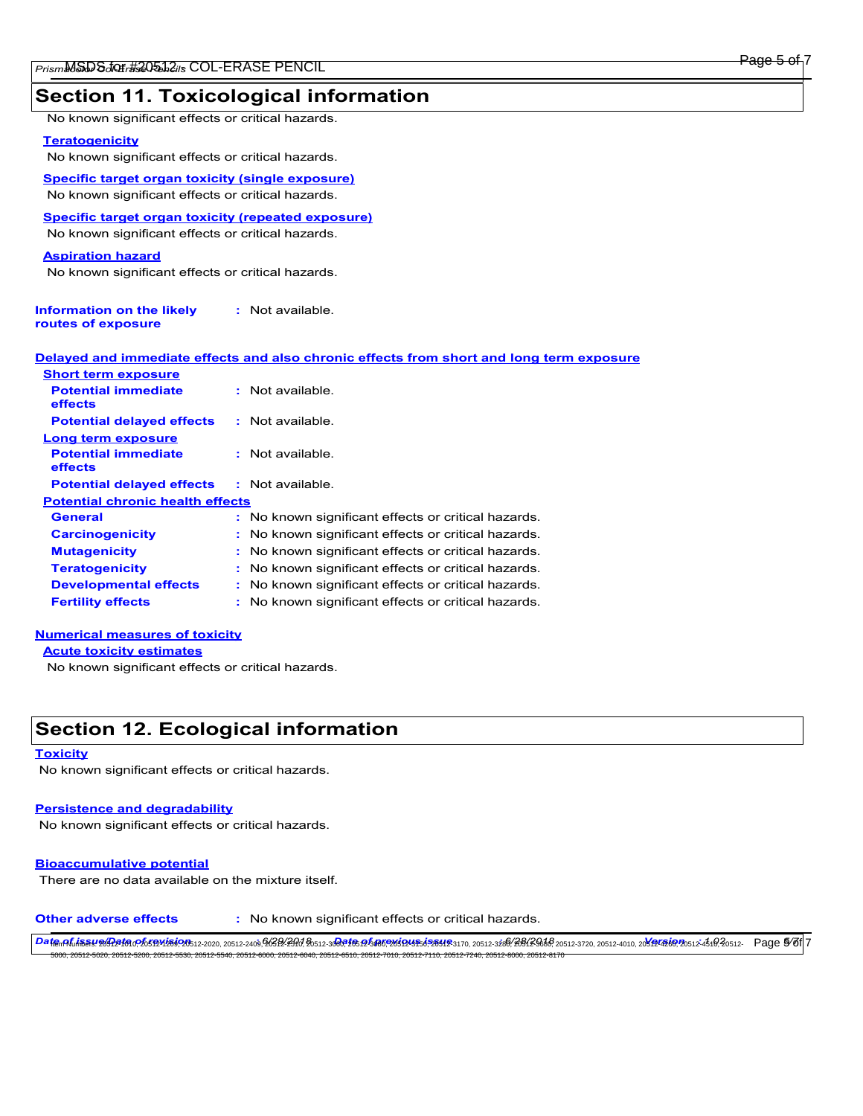## **Section 11. Toxicological information**

No known significant effects or critical hazards.

### **Teratogenicity**

No known significant effects or critical hazards.

**Specific target organ toxicity (single exposure)** No known significant effects or critical hazards.

**Specific target organ toxicity (repeated exposure)**

No known significant effects or critical hazards.

### **Aspiration hazard**

No known significant effects or critical hazards.

| Information on the likely | : Not available. |
|---------------------------|------------------|
| routes of exposure        |                  |

|                            | <u>Delaved and immediate effects and also chronic effects from short and long term exposure</u> |  |
|----------------------------|-------------------------------------------------------------------------------------------------|--|
| <b>Chart torm ovnocura</b> |                                                                                                 |  |

| <b>SHOLL LEFTILE BADOSULE</b>           |                                                     |  |  |  |
|-----------------------------------------|-----------------------------------------------------|--|--|--|
| <b>Potential immediate</b><br>effects   | $:$ Not available.                                  |  |  |  |
| <b>Potential delayed effects</b>        | : Not available.                                    |  |  |  |
| Long term exposure                      |                                                     |  |  |  |
| <b>Potential immediate</b><br>effects   | : Not available.                                    |  |  |  |
| <b>Potential delayed effects</b>        | : Not available.                                    |  |  |  |
| <b>Potential chronic health effects</b> |                                                     |  |  |  |
| General                                 | : No known significant effects or critical hazards. |  |  |  |
| <b>Carcinogenicity</b>                  | : No known significant effects or critical hazards. |  |  |  |
| <b>Mutagenicity</b>                     | : No known significant effects or critical hazards. |  |  |  |
| <b>Teratogenicity</b>                   | : No known significant effects or critical hazards. |  |  |  |
| <b>Developmental effects</b>            | : No known significant effects or critical hazards. |  |  |  |
| <b>Fertility effects</b>                | : No known significant effects or critical hazards. |  |  |  |
|                                         |                                                     |  |  |  |

## **Numerical measures of toxicity**

**Acute toxicity estimates**

No known significant effects or critical hazards.

# **Section 12. Ecological information**

#### **Toxicity**

No known significant effects or critical hazards.

#### **Persistence and degradability**

No known significant effects or critical hazards.

#### **Bioaccumulative potential**

There are no data available on the mixture itself.

**Other adverse effects :** No known significant effects or critical hazards.

<del>Dat@nALiSSY20A2f0</del>nPh5fBM2502b12-2020, 20512-2409,96SB2:2H0AB0512-3**GR165.p2580E26368F26412**3170, 20512-3266(BB1/SG6BAS 20512-3720, 20512-4010, 20**812456**P20512-456(B20512-4 **Page 5/81**7 5000, 20512-5020, 20512-5200, 20512-5530, 20512-5540, 20512-6000, 20512-6040, 20512-6510, 20512-7010, 20512-7110, 20512-7240, 20512-8000, 20512-8170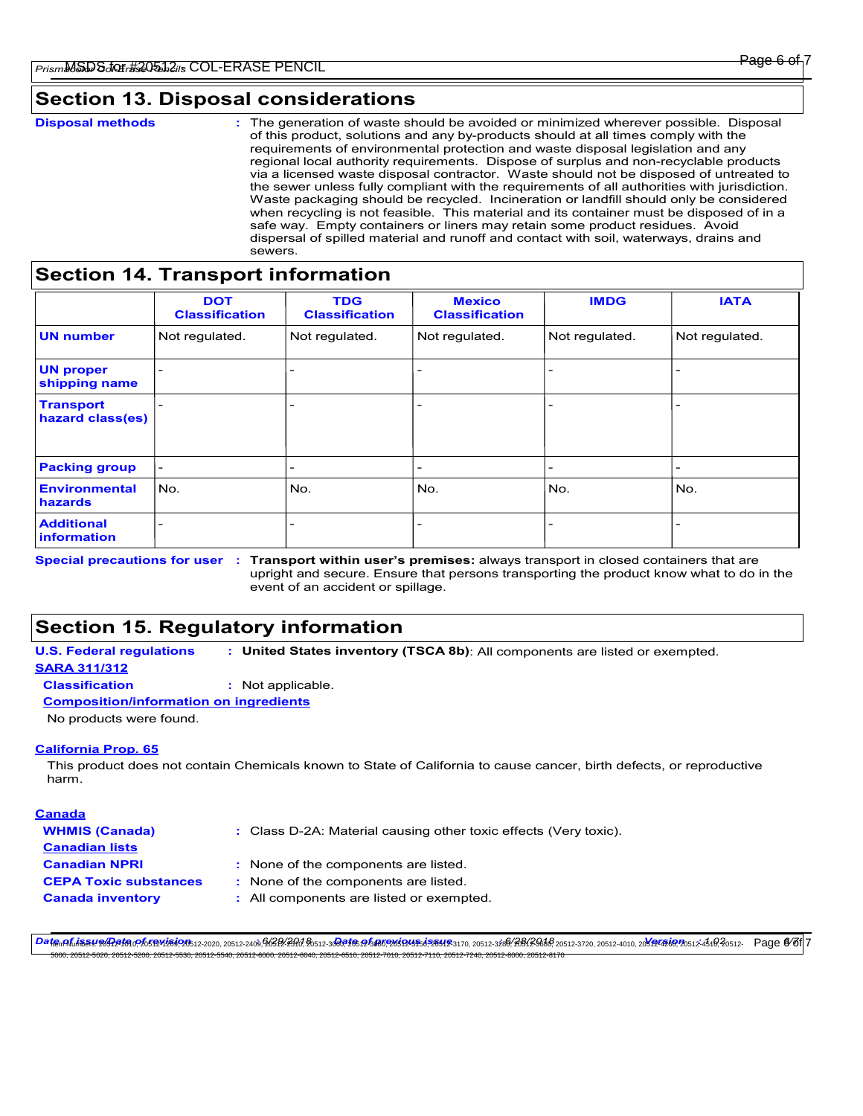# **Section 13. Disposal considerations**

The generation of waste should be avoided or minimized wherever possible. Disposal of this product, solutions and any by-products should at all times comply with the requirements of environmental protection and waste disposal legislation and any regional local authority requirements. Dispose of surplus and non-recyclable products via a licensed waste disposal contractor. Waste should not be disposed of untreated to the sewer unless fully compliant with the requirements of all authorities with jurisdiction. Waste packaging should be recycled. Incineration or landfill should only be considered when recycling is not feasible. This material and its container must be disposed of in a safe way. Empty containers or liners may retain some product residues. Avoid dispersal of spilled material and runoff and contact with soil, waterways, drains and sewers. **Disposal methods :**

## **Section 14. Transport information**

|                                      | <b>DOT</b><br><b>Classification</b> | <b>TDG</b><br><b>Classification</b> | <b>Mexico</b><br><b>Classification</b> | <b>IMDG</b>    | <b>IATA</b>    |
|--------------------------------------|-------------------------------------|-------------------------------------|----------------------------------------|----------------|----------------|
| <b>UN</b> number                     | Not regulated.                      | Not regulated.                      | Not regulated.                         | Not regulated. | Not regulated. |
| <b>UN proper</b><br>shipping name    |                                     | -                                   | $\overline{\phantom{a}}$               |                |                |
| <b>Transport</b><br>hazard class(es) |                                     | -                                   | -                                      |                |                |
| <b>Packing group</b>                 | $\overline{a}$                      | $\overline{\phantom{a}}$            | $\overline{\phantom{a}}$               |                |                |
| <b>Environmental</b><br>hazards      | l No.                               | No.                                 | No.                                    | No.            | No.            |
| <b>Additional</b><br>information     |                                     | -                                   | -                                      |                |                |

Special precautions for user : Transport within user's premises: always transport in closed containers that are upright and secure. Ensure that persons transporting the product know what to do in the event of an accident or spillage.

# **Section 15. Regulatory information**

**U.S. Federal regulations : United States inventory (TSCA 8b)**: All components are listed or exempted.

## **SARA 311/312**

**Classification :** Not applicable.

## **Composition/information on ingredients**

No products were found.

## **California Prop. 65**

This product does not contain Chemicals known to State of California to cause cancer, birth defects, or reproductive harm.

## **Canada**

Class D-2A: Material causing other toxic effects (Very toxic). **:**

- **WHMIS (Canada) Canadian lists Canadian NPRI CEPA Toxic substances :**
	- None of the components are listed. **:**
	- : None of the components are listed.
- **Canada inventory :** All components are listed or exempted.

<del>Dat@nALiSSY20A2f0</del>nPh5fBM2502b12-2020, 20512-2409,96SB2:2H0AB0512-3**GR165.p258026384526312**9370, 20512-3266(BB12Sb86 20512-3720, 20512-4010, 20**812456**920512-456(B20512- Page @76|7 5000, 20512-5020, 20512-5200, 20512-5530, 20512-5540, 20512-6000, 20512-6040, 20512-6510, 20512-7010, 20512-7110, 20512-7240, 20512-8000, 20512-8170